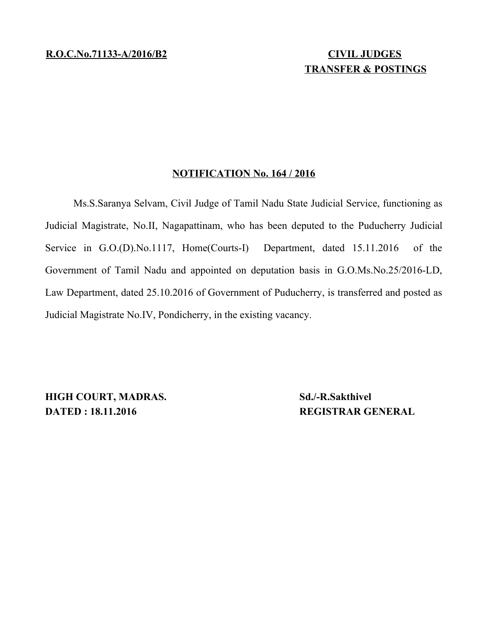## **TRANSFER & POSTINGS**

## **NOTIFICATION No. 164 / 2016**

Ms.S.Saranya Selvam, Civil Judge of Tamil Nadu State Judicial Service, functioning as Judicial Magistrate, No.II, Nagapattinam, who has been deputed to the Puducherry Judicial Service in G.O.(D).No.1117, Home(Courts-I) Department, dated 15.11.2016 of the Government of Tamil Nadu and appointed on deputation basis in G.O.Ms.No.25/2016-LD, Law Department, dated 25.10.2016 of Government of Puducherry, is transferred and posted as Judicial Magistrate No.IV, Pondicherry, in the existing vacancy.

**HIGH COURT, MADRAS.** Sd./-R.Sakthivel **DATED : 18.11.2016 REGISTRAR GENERAL**